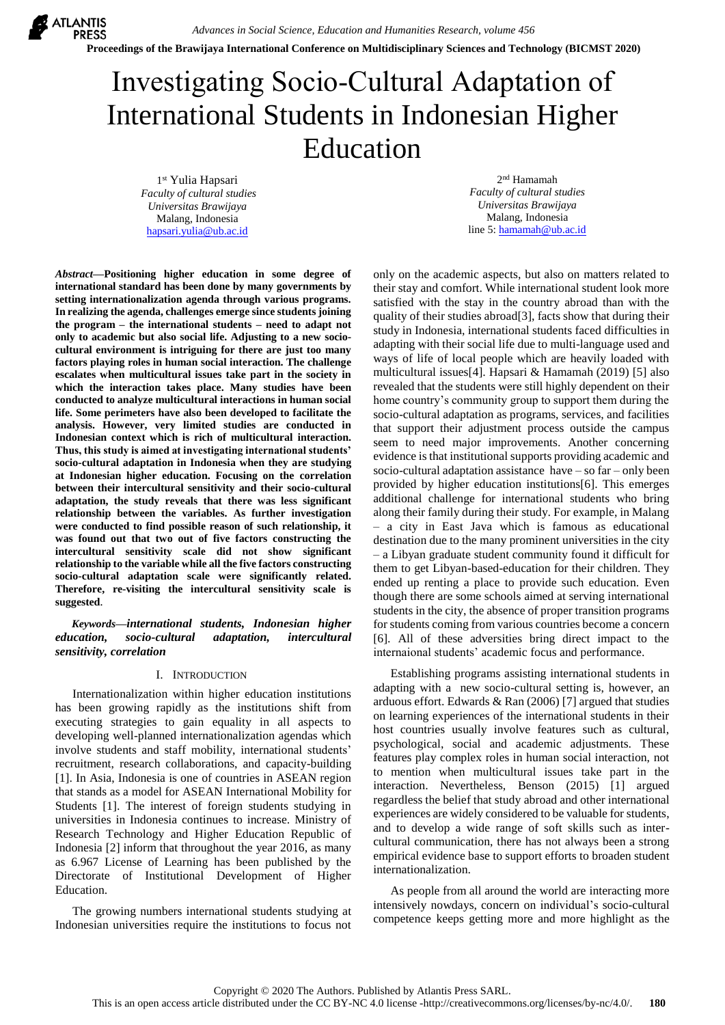**ATLANTIS PRESS** 

**Proceedings of the Brawijaya International Conference on Multidisciplinary Sciences and Technology (BICMST 2020)**

# Investigating Socio-Cultural Adaptation of International Students in Indonesian Higher Education

1 st Yulia Hapsari *Faculty of cultural studies Universitas Brawijaya* Malang, Indonesia [hapsari.yulia@ub.ac.id](mailto:hapsari.yulia@ub.ac.id)

2 nd Hamamah *Faculty of cultural studies Universitas Brawijaya* Malang, Indonesia line 5: [hamamah@ub.ac.id](mailto:hamamah@ub.ac.id)

*Abstract***—Positioning higher education in some degree of international standard has been done by many governments by setting internationalization agenda through various programs. In realizing the agenda, challenges emerge since students joining the program – the international students – need to adapt not only to academic but also social life. Adjusting to a new sociocultural environment is intriguing for there are just too many factors playing roles in human social interaction. The challenge escalates when multicultural issues take part in the society in which the interaction takes place. Many studies have been conducted to analyze multicultural interactions in human social life. Some perimeters have also been developed to facilitate the analysis. However, very limited studies are conducted in Indonesian context which is rich of multicultural interaction. Thus, this study is aimed at investigating international students' socio-cultural adaptation in Indonesia when they are studying at Indonesian higher education. Focusing on the correlation between their intercultural sensitivity and their socio-cultural adaptation, the study reveals that there was less significant relationship between the variables. As further investigation were conducted to find possible reason of such relationship, it was found out that two out of five factors constructing the intercultural sensitivity scale did not show significant relationship to the variable while all the five factors constructing socio-cultural adaptation scale were significantly related. Therefore, re-visiting the intercultural sensitivity scale is suggested**.

*Keywords—international students, Indonesian higher education, socio-cultural adaptation, intercultural sensitivity, correlation*

#### I. INTRODUCTION

Internationalization within higher education institutions has been growing rapidly as the institutions shift from executing strategies to gain equality in all aspects to developing well-planned internationalization agendas which involve students and staff mobility, international students' recruitment, research collaborations, and capacity-building [1]. In Asia, Indonesia is one of countries in ASEAN region that stands as a model for ASEAN International Mobility for Students [1]. The interest of foreign students studying in universities in Indonesia continues to increase. Ministry of Research Technology and Higher Education Republic of Indonesia [2] inform that throughout the year 2016, as many as 6.967 License of Learning has been published by the Directorate of Institutional Development of Higher Education.

The growing numbers international students studying at Indonesian universities require the institutions to focus not

only on the academic aspects, but also on matters related to their stay and comfort. While international student look more satisfied with the stay in the country abroad than with the quality of their studies abroad[3], facts show that during their study in Indonesia, international students faced difficulties in adapting with their social life due to multi-language used and ways of life of local people which are heavily loaded with multicultural issues[4]. Hapsari & Hamamah (2019) [5] also revealed that the students were still highly dependent on their home country's community group to support them during the socio-cultural adaptation as programs, services, and facilities that support their adjustment process outside the campus seem to need major improvements. Another concerning evidence is that institutional supports providing academic and socio-cultural adaptation assistance have – so far – only been provided by higher education institutions[6]. This emerges additional challenge for international students who bring along their family during their study. For example, in Malang – a city in East Java which is famous as educational destination due to the many prominent universities in the city – a Libyan graduate student community found it difficult for them to get Libyan-based-education for their children. They ended up renting a place to provide such education. Even though there are some schools aimed at serving international students in the city, the absence of proper transition programs for students coming from various countries become a concern [6]. All of these adversities bring direct impact to the internaional students' academic focus and performance.

Establishing programs assisting international students in adapting with a new socio-cultural setting is, however, an arduous effort. Edwards & Ran (2006) [7] argued that studies on learning experiences of the international students in their host countries usually involve features such as cultural, psychological, social and academic adjustments. These features play complex roles in human social interaction, not to mention when multicultural issues take part in the interaction. Nevertheless, Benson (2015) [1] argued regardless the belief that study abroad and other international experiences are widely considered to be valuable for students, and to develop a wide range of soft skills such as intercultural communication, there has not always been a strong empirical evidence base to support efforts to broaden student internationalization.

As people from all around the world are interacting more intensively nowdays, concern on individual's socio-cultural competence keeps getting more and more highlight as the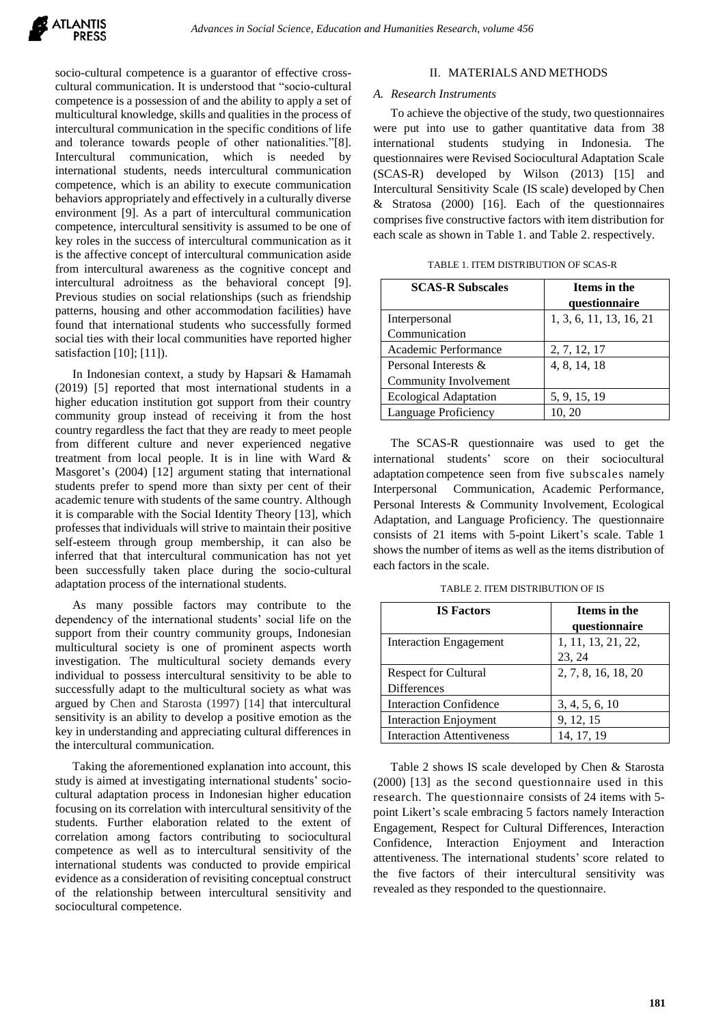

socio-cultural competence is a guarantor of effective crosscultural communication. It is understood that "socio-cultural competence is a possession of and the ability to apply a set of multicultural knowledge, skills and qualities in the process of intercultural communication in the specific conditions of life and tolerance towards people of other nationalities."[8]. Intercultural communication, which is needed by international students, needs intercultural communication competence, which is an ability to execute communication behaviors appropriately and effectively in a culturally diverse environment [9]. As a part of intercultural communication competence, intercultural sensitivity is assumed to be one of key roles in the success of intercultural communication as it is the affective concept of intercultural communication aside from intercultural awareness as the cognitive concept and intercultural adroitness as the behavioral concept [9]. Previous studies on social relationships (such as friendship patterns, housing and other accommodation facilities) have found that international students who successfully formed social ties with their local communities have reported higher satisfaction [10]; [11]).

In Indonesian context, a study by Hapsari & Hamamah (2019) [5] reported that most international students in a higher education institution got support from their country community group instead of receiving it from the host country regardless the fact that they are ready to meet people from different culture and never experienced negative treatment from local people. It is in line with Ward & Masgoret's (2004) [12] argument stating that international students prefer to spend more than sixty per cent of their academic tenure with students of the same country. Although it is comparable with the Social Identity Theory [13], which professes that individuals will strive to maintain their positive self-esteem through group membership, it can also be inferred that that intercultural communication has not yet been successfully taken place during the socio-cultural adaptation process of the international students.

As many possible factors may contribute to the dependency of the international students' social life on the support from their country community groups, Indonesian multicultural society is one of prominent aspects worth investigation. The multicultural society demands every individual to possess intercultural sensitivity to be able to successfully adapt to the multicultural society as what was argued by Chen and Starosta (1997) [14] that intercultural sensitivity is an ability to develop a positive emotion as the key in understanding and appreciating cultural differences in the intercultural communication.

Taking the aforementioned explanation into account, this study is aimed at investigating international students' sociocultural adaptation process in Indonesian higher education focusing on its correlation with intercultural sensitivity of the students. Further elaboration related to the extent of correlation among factors contributing to sociocultural competence as well as to intercultural sensitivity of the international students was conducted to provide empirical evidence as a consideration of revisiting conceptual construct of the relationship between intercultural sensitivity and sociocultural competence.

# II. MATERIALS AND METHODS

#### *A. Research Instruments*

To achieve the objective of the study, two questionnaires were put into use to gather quantitative data from 38 international students studying in Indonesia. The questionnaires were Revised Sociocultural Adaptation Scale (SCAS-R) developed by Wilson (2013) [15] and Intercultural Sensitivity Scale (IS scale) developed by Chen & Stratosa (2000) [16]. Each of the questionnaires comprises five constructive factors with item distribution for each scale as shown in Table 1. and Table 2. respectively.

| TABLE 1. ITEM DISTRIBUTION OF SCAS-R |  |  |  |
|--------------------------------------|--|--|--|
|                                      |  |  |  |

| <b>SCAS-R Subscales</b>      | Items in the<br>questionnaire |
|------------------------------|-------------------------------|
| Interpersonal                | 1, 3, 6, 11, 13, 16, 21       |
| Communication                |                               |
| Academic Performance         | 2, 7, 12, 17                  |
| Personal Interests &         | 4, 8, 14, 18                  |
| Community Involvement        |                               |
| <b>Ecological Adaptation</b> | 5, 9, 15, 19                  |
| Language Proficiency         | 10, 20                        |

The SCAS-R questionnaire was used to get the international students' score on their sociocultural adaptation competence seen from five subscales namely Interpersonal Communication, Academic Performance, Personal Interests & Community Involvement, Ecological Adaptation, and Language Proficiency. The questionnaire consists of 21 items with 5-point Likert's scale. Table 1 shows the number of items as well as the items distribution of each factors in the scale.

TABLE 2. ITEM DISTRIBUTION OF IS

| <b>IS Factors</b>                                 | Items in the<br>questionnaire |
|---------------------------------------------------|-------------------------------|
| Interaction Engagement                            | 1, 11, 13, 21, 22,<br>23, 24  |
| <b>Respect for Cultural</b><br><b>Differences</b> | 2, 7, 8, 16, 18, 20           |
| <b>Interaction Confidence</b>                     | 3, 4, 5, 6, 10                |
| <b>Interaction Enjoyment</b>                      | 9, 12, 15                     |
| <b>Interaction Attentiveness</b>                  | 14, 17, 19                    |

Table 2 shows IS scale developed by Chen & Starosta (2000) [13] as the second questionnaire used in this research. The questionnaire consists of 24 items with 5 point Likert's scale embracing 5 factors namely Interaction Engagement, Respect for Cultural Differences, Interaction Confidence, Interaction Enjoyment and Interaction attentiveness. The international students' score related to the five factors of their intercultural sensitivity was revealed as they responded to the questionnaire.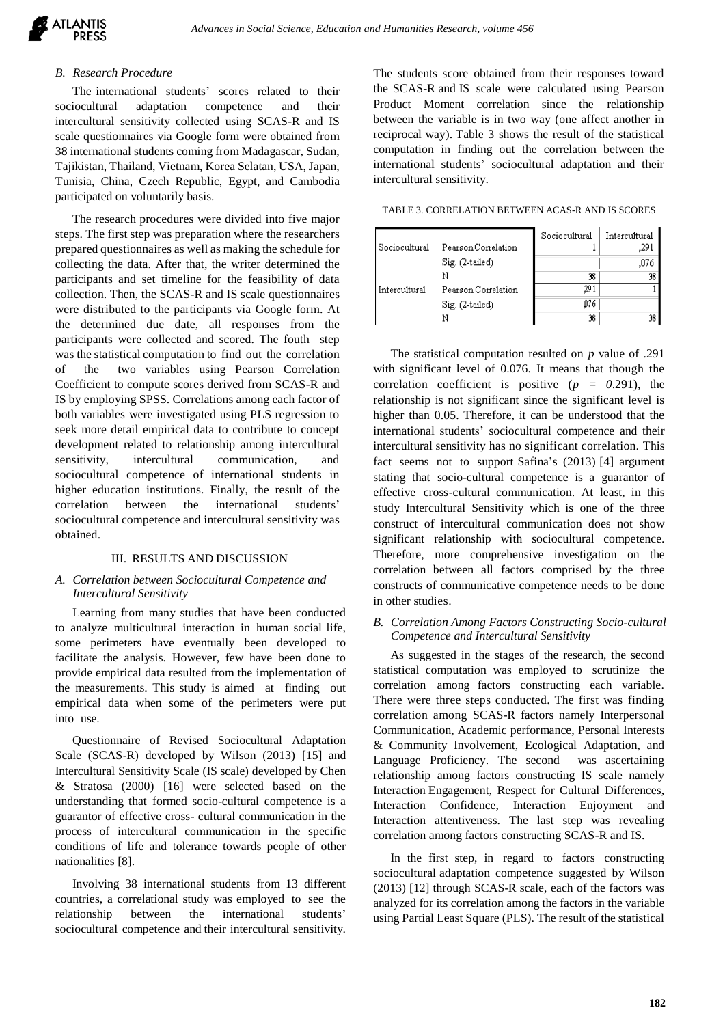## *B. Research Procedure*

The international students' scores related to their sociocultural adaptation competence and their intercultural sensitivity collected using SCAS-R and IS scale questionnaires via Google form were obtained from 38 international students coming from Madagascar, Sudan, Tajikistan, Thailand, Vietnam, Korea Selatan, USA, Japan, Tunisia, China, Czech Republic, Egypt, and Cambodia participated on voluntarily basis.

The research procedures were divided into five major steps. The first step was preparation where the researchers prepared questionnaires as well as making the schedule for collecting the data. After that, the writer determined the participants and set timeline for the feasibility of data collection. Then, the SCAS-R and IS scale questionnaires were distributed to the participants via Google form. At the determined due date, all responses from the participants were collected and scored. The fouth step was the statistical computation to find out the correlation of the two variables using Pearson Correlation Coefficient to compute scores derived from SCAS-R and IS by employing SPSS. Correlations among each factor of both variables were investigated using PLS regression to seek more detail empirical data to contribute to concept development related to relationship among intercultural sensitivity, intercultural communication, and sociocultural competence of international students in higher education institutions. Finally, the result of the correlation between the international students' sociocultural competence and intercultural sensitivity was obtained.

#### III. RESULTS AND DISCUSSION

### *A. Correlation between Sociocultural Competence and Intercultural Sensitivity*

Learning from many studies that have been conducted to analyze multicultural interaction in human social life, some perimeters have eventually been developed to facilitate the analysis. However, few have been done to provide empirical data resulted from the implementation of the measurements. This study is aimed at finding out empirical data when some of the perimeters were put into use.

Questionnaire of Revised Sociocultural Adaptation Scale (SCAS-R) developed by Wilson (2013) [15] and Intercultural Sensitivity Scale (IS scale) developed by Chen & Stratosa (2000) [16] were selected based on the understanding that formed socio-cultural competence is a guarantor of effective cross- cultural communication in the process of intercultural communication in the specific conditions of life and tolerance towards people of other nationalities [8].

Involving 38 international students from 13 different countries, a correlational study was employed to see the relationship between the international students' sociocultural competence and their intercultural sensitivity.

The students score obtained from their responses toward the SCAS-R and IS scale were calculated using Pearson Product Moment correlation since the relationship between the variable is in two way (one affect another in reciprocal way). Table 3 shows the result of the statistical computation in finding out the correlation between the international students' sociocultural adaptation and their intercultural sensitivity.

TABLE 3. CORRELATION BETWEEN ACAS-R AND IS SCORES

| Sociocultural | Pearson Correlation | Sociocultural | Intercultural<br>,291 |
|---------------|---------------------|---------------|-----------------------|
|               | Sig. (2-tailed)     |               | ,076                  |
|               |                     | 38            | 38                    |
| Intercultural | Pearson Correlation | 291           |                       |
|               | Sig. (2-tailed)     | D76           |                       |
|               | Ν                   | 38            | 38                    |

The statistical computation resulted on *p* value of .291 with significant level of 0.076. It means that though the correlation coefficient is positive  $(p = 0.291)$ , the relationship is not significant since the significant level is higher than 0.05. Therefore, it can be understood that the international students' sociocultural competence and their intercultural sensitivity has no significant correlation. This fact seems not to support Safina's (2013) [4] argument stating that socio-cultural competence is a guarantor of effective cross-cultural communication. At least, in this study Intercultural Sensitivity which is one of the three construct of intercultural communication does not show significant relationship with sociocultural competence. Therefore, more comprehensive investigation on the correlation between all factors comprised by the three constructs of communicative competence needs to be done in other studies.

*B. Correlation Among Factors Constructing Socio-cultural Competence and Intercultural Sensitivity*

As suggested in the stages of the research, the second statistical computation was employed to scrutinize the correlation among factors constructing each variable. There were three steps conducted. The first was finding correlation among SCAS-R factors namely Interpersonal Communication, Academic performance, Personal Interests & Community Involvement, Ecological Adaptation, and Language Proficiency. The second was ascertaining relationship among factors constructing IS scale namely Interaction Engagement, Respect for Cultural Differences, Interaction Confidence, Interaction Enjoyment and Interaction attentiveness. The last step was revealing correlation among factors constructing SCAS-R and IS.

In the first step, in regard to factors constructing sociocultural adaptation competence suggested by Wilson (2013) [12] through SCAS-R scale, each of the factors was analyzed for its correlation among the factors in the variable using Partial Least Square (PLS). The result of the statistical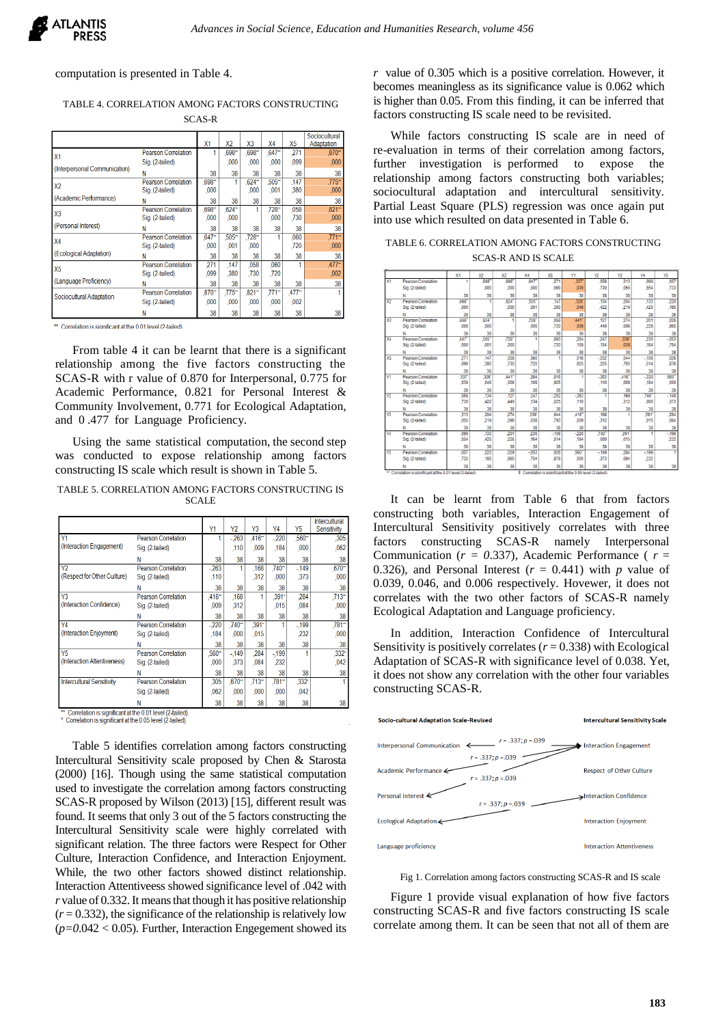computation is presented in Table 4.

TABLE 4. CORRELATION AMONG FACTORS CONSTRUCTING SCAS-R

|                               |                                               | X <sub>1</sub>   | <b>X2</b>        | X <sub>3</sub>   | X4               | X5               | Sociocultural<br>Adaptation  |
|-------------------------------|-----------------------------------------------|------------------|------------------|------------------|------------------|------------------|------------------------------|
| X1                            | <b>Pearson Correlation</b>                    |                  | $.698 -$         | $.698 -$         | $.647 -$         | 271              | $.870 -$                     |
|                               | Sig. (2-tailed)                               |                  | .000             | .000             | .000             | .099             | ,000,                        |
| (Interpersonal Communication) | Ν                                             | 38               | 38               | 38               | 38               | 38               | 38                           |
| X <sub>2</sub>                | <b>Pearson Correlation</b><br>Sig. (2-tailed) | $.698 -$<br>.000 |                  | $.624 -$<br>.000 | $.505 -$<br>001  | .147<br>.380     | 775**<br>,000,               |
| (Academic Performance)        | Ν                                             | 38               | 38               | 38               | 38               | 38               | 38                           |
| X3                            | <b>Pearson Correlation</b><br>Sig. (2-tailed) | 698-<br>.000     | $624 -$<br>,000  |                  | $728 -$<br>.000  | .058<br>,730     | $.821 -$<br>,000,            |
| (Personal Interest)           | Ν                                             | 38               | 38               | 38               | 38               | 38               | 38                           |
| X <sub>4</sub>                | <b>Pearson Correlation</b><br>Sig. (2-tailed) | $647 -$<br>,000  | $.505 -$<br>,001 | $.728 -$<br>.000 |                  | .060<br>,720     | $.771$ <sup>**</sup><br>.000 |
| (Ecological Adaptation)       | Ν                                             | 38               | 38               | 38               | 38               | 38               | 38                           |
| X <sub>5</sub>                | <b>Pearson Correlation</b><br>Sig. (2-tailed) | 271<br>.099      | 147<br>.380      | .058<br>,730     | 060<br>720       |                  | $.477 -$<br>.002             |
| (Language Proficiency)        | Ν                                             | 38               | 38               | 38               | 38               | 38               | 38                           |
| Sociocultural Adaptation      | <b>Pearson Correlation</b><br>Sig. (2-tailed) | $.870 -$<br>.000 | $.775 -$<br>.000 | $,821 -$<br>.000 | $.771 -$<br>.000 | $.477 -$<br>,002 |                              |
|                               | м                                             | 38               | 38               | 38               | 38               | 38               | 38                           |

\*\* Correlation is significant at the 0.01 level (2-tailed)

From table 4 it can be learnt that there is a significant relationship among the five factors constructing the SCAS-R with r value of 0.870 for Interpersonal, 0.775 for Academic Performance, 0.821 for Personal Interest & Community Involvement, 0.771 for Ecological Adaptation, and 0 .477 for Language Proficiency.

Using the same statistical computation, the second step was conducted to expose relationship among factors constructing IS scale which result is shown in Table 5.

TABLE 5. CORRELATION AMONG FACTORS CONSTRUCTING IS SCALE

|                                  |                            | Υ1       | Y <sub>2</sub> | Y <sub>3</sub>      | Y4       | Y5                   | <b>Intercultural</b><br>Sensitivity |
|----------------------------------|----------------------------|----------|----------------|---------------------|----------|----------------------|-------------------------------------|
| Y1                               | <b>Pearson Correlation</b> |          | $-263$         | .416"               | $-220$   | $,560$ <sup>**</sup> | ,305                                |
| (Interaction Engagement)         | Sig. (2-tailed)            |          | ,110           | .009                | ,184     | .000                 | .062                                |
|                                  | Ν                          | 38       | 38             | 38                  | 38       | 38                   | 38                                  |
| Y <sub>2</sub>                   | <b>Pearson Correlation</b> | $-263$   |                | .168                | $.740 -$ | $-149$               | $.670 -$                            |
| (Respect for Other Culture)      | Sig. (2-tailed)            | ,110     |                | .312                | ,000     | .373                 | ,000                                |
|                                  | Ν                          | 38       | 38             | 38                  | 38       | 38                   | 38                                  |
| $\overline{Y3}$                  | <b>Pearson Correlation</b> | $.416 -$ | ,168           |                     | $.391 -$ | .284                 | $.713 -$                            |
| (Interaction Confidence)         | Sig. (2-tailed)            | .009     | ,312           |                     | .015     | .084                 | .000                                |
|                                  | Ν                          | 38       | 38             | 38                  | 38       | 38                   | 38                                  |
| Y4                               | Pearson Correlation        | $-220$   | $.740 -$       | $,391$ <sup>*</sup> |          | $-199$               | $781 -$                             |
| (Interaction Enjoyment)          | Sig. (2-tailed)            | .184     | .000           | .015                |          | 232                  | .000                                |
|                                  | Ν                          | 38       | 38             | 38                  | 38       | 38                   | 38                                  |
| Y <sub>5</sub>                   | <b>Pearson Correlation</b> | $.560 -$ | $-149$         | .284                | $-199$   |                      | $,332$ <sup>*</sup>                 |
| (Interaction Attentiveness)      | Sig. (2-tailed)            | .000     | 373            | .084                | ,232     |                      | .042                                |
|                                  | Ν                          | 38       | 38             | 38                  | 38       | 38                   | 38                                  |
| <b>Intercultural Sensitivity</b> | <b>Pearson Correlation</b> | .305     | $.670 -$       | $.713 -$            | $.781 -$ | $332^{\circ}$        |                                     |
|                                  | Sig. (2-tailed)            | .062     | .000           | .000                | .000     | .042                 |                                     |
|                                  | Ν                          | 38       | 38             | 38                  | 38       | 38                   | 38                                  |

\* Correlation is significant at the 0.01 level (2-tailed) \*. Correlation is significant at the 0.05 level (2-tailed)

Table 5 identifies correlation among factors constructing Intercultural Sensitivity scale proposed by Chen & Starosta (2000) [16]. Though using the same statistical computation used to investigate the correlation among factors constructing SCAS-R proposed by Wilson (2013) [15], different result was found. It seems that only 3 out of the 5 factors constructing the Intercultural Sensitivity scale were highly correlated with significant relation. The three factors were Respect for Other Culture, Interaction Confidence, and Interaction Enjoyment. While, the two other factors showed distinct relationship. Interaction Attentiveess showed significance level of .042 with *r* value of 0.332. It means that though it has positive relationship  $(r = 0.332)$ , the significance of the relationship is relatively low  $(p=0.042 < 0.05)$ . Further, Interaction Engegement showed its *r* value of 0.305 which is a positive correlation. However, it becomes meaningless as its significance value is 0.062 which is higher than 0.05. From this finding, it can be inferred that factors constructing IS scale need to be revisited.

While factors constructing IS scale are in need of re-evaluation in terms of their correlation among factors, further investigation is performed to expose the relationship among factors constructing both variables; sociocultural adaptation and intercultural sensitivity. Partial Least Square (PLS) regression was once again put into use which resulted on data presented in Table 6.

TABLE 6. CORRELATION AMONG FACTORS CONSTRUCTING SCAS-R AND IS SCALE

|                 |                                                          | X1   | Х2         | X3   | X4     | X5     | Y1                                                      | Y2     | Y3   | Y4     | Y5               |
|-----------------|----------------------------------------------------------|------|------------|------|--------|--------|---------------------------------------------------------|--------|------|--------|------------------|
| X <sub>1</sub>  | Pearson Correlation                                      | т    | .698       | .698 | 647    | 271    | 337                                                     | .058   | 313  | 099    | .057             |
|                 | Sig. (2-tailed)                                          |      | .000       | .000 | .000   | .099   | .039                                                    | .730   | .055 | 554    | .733             |
|                 | N                                                        | 38   | 38         | 38   | 38     | 38     | 38                                                      | 38     | 38   | 38     | 38               |
| x <sub>2</sub>  | Pearson Correlation                                      | 698  | т          | .624 | 505    | ,147   | 326                                                     | .134   | 204  | .133   | 220              |
|                 | Sig. (2-tailed)                                          | .000 |            | .000 | .001   | 380    | .046                                                    | ,422   | 219  | ,425   | .185             |
|                 | N                                                        | 38   | 38         | 38   | 38     | 38     | 38                                                      | 38     | 38   | 38     | 38               |
| X3              | Pearson Correlation                                      | 698  | 624        | ٠    | 728    | 058    | 441                                                     | .127   | 274  | 201    | ,029             |
|                 | Sig. (2-tailed)                                          | .000 | .000       |      | 000    | ,730   | ,006                                                    | ,449   | .096 | 226    | ,865             |
|                 | N                                                        | 38   | 38         | 38   | 38     | 38     | 38                                                      | 38     | 38   | 38     | 38               |
| <b>X4</b>       | <b>Pearson Correlation</b>                               | 647  | 505        | 728  | Ŧ      | 060    | 264                                                     | 247    | 338  | 230    | $-053$           |
|                 | Sig. (2-tailed)                                          | 000  | 001        | .000 |        | .720   | .109                                                    | .134   | .038 | .164   | .754             |
|                 | N                                                        | 38   | 38         | 38   | 38     | 38     | 38                                                      | 38     | 38   | 38     | 38               |
| X5              | Pearson Correlation                                      | 271  | .147       | .058 | .060   | т      | .016                                                    | $-202$ | 044  | $-109$ | .026             |
|                 | Sig. (2-tailed)                                          | 099  | 380        | .730 | 720    |        | 925                                                     | 225    | .793 | 514    | .876             |
|                 | N                                                        | 38   | 38         | 38   | 38     | 38     | 38                                                      | 38     | 38   | 38     | $\frac{38}{560}$ |
| ١Y              | Pearson Correlation                                      | 337  | 326        | 441  | 264    | .016   | т                                                       | $-263$ | 416  | $-220$ |                  |
|                 | Sig. (2-tailed)                                          | .039 | 046        | .006 | .109   | ,925   |                                                         | .110   | .009 | .184   | ,000             |
|                 | N                                                        | 38   | 38         | 38   | 38     | 38     | 38                                                      | 38     | 38   | 38     | 38               |
| $\overline{Y2}$ | <b>Pearson Correlation</b>                               | 058  | .134       | 127  | 247    | $-202$ | $-263$                                                  | т      | .168 | 740    | $-149$           |
|                 | Sig. (2-tailed)                                          | .730 | ,422       | ,449 | .134   | 225    | .110                                                    |        | 312  | .000   | 373              |
|                 | N                                                        | 38   | 38         | 38   | 38     | 38     | 38                                                      | 38     | 38   | 38     | 38               |
| Y3              | <b>Pearson Correlation</b>                               | 313  | 204        | 274  | 338    | 044    | $,416^{-}$                                              | .168   | 1    | 391    | 284              |
|                 | Sig. (2-tailed)                                          | .055 | 219        | .096 | 038    | .793   | .009                                                    | 312    |      | .015   | ,084             |
|                 | N                                                        | 38   | 38         | 38   | 38     | 38     | 38                                                      | 38     | 38   | 38     | 38               |
| Y4              | Pearson Correlation                                      | 099  | .133       | 201  | 230    | $-109$ | $-220$                                                  | 740    | 391  | Ŧ      | $-199$           |
|                 | Sig. (2-tailed)                                          | 554  | <b>A25</b> | 226  | .164   | 514    | .184                                                    | .000   | 015  |        | 232              |
|                 | N                                                        | 38   | 38         | 38   | 38     | 38     | 38                                                      | 38     | 38   | 38     | $\frac{38}{1}$   |
| $\overline{15}$ | Pearson Correlation                                      | 057  | 220        | 029  | $-053$ | 026    | 560                                                     | $-149$ | 284  | $-199$ |                  |
|                 | Sig. (2-tailed)                                          | 733  | .185       | 865  | .754   | 876    | ,000                                                    | 373    | .084 | 232    |                  |
|                 | N                                                        | 38   | 38         | 38   | 38     | 38     | 38                                                      | 38     | 38   | 38     | 38               |
| Ħ               | Correlation is significant at the 0.01 level (2-tailed). |      |            |      | r      |        | Correlation is significant at the 0.05 level (2-tailed) |        |      |        |                  |

It can be learnt from Table 6 that from factors constructing both variables, Interaction Engagement of Intercultural Sensitivity positively correlates with three factors constructing SCAS-R namely Interpersonal Communication (*r = 0*.337), Academic Performance ( *r* = 0.326), and Personal Interest  $(r = 0.441)$  with *p* value of 0.039, 0.046, and 0.006 respectively. Hovewer, it does not correlates with the two other factors of SCAS-R namely Ecological Adaptation and Language proficiency.

In addition, Interaction Confidence of Intercultural Sensitivity is positively correlates  $(r = 0.338)$  with Ecological Adaptation of SCAS-R with significance level of 0.038. Yet, it does not show any correlation with the other four variables constructing SCAS-R.



Fig 1. Correlation among factors constructing SCAS-R and IS scale

Figure 1 provide visual explanation of how five factors constructing SCAS-R and five factors constructing IS scale correlate among them. It can be seen that not all of them are